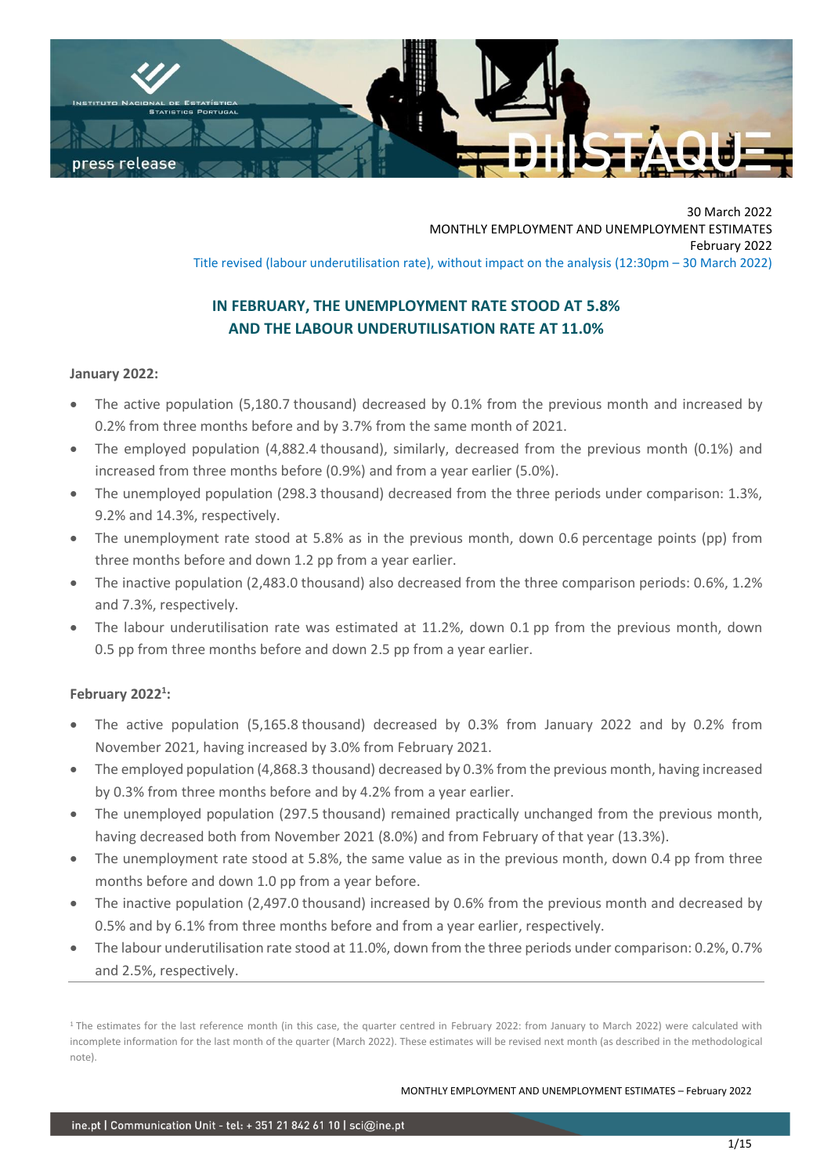

30 March 2022 MONTHLY EMPLOYMENT AND UNEMPLOYMENT ESTIMATES February 2022 Title revised (labour underutilisation rate), without impact on the analysis (12:30pm – 30 March 2022)

# **IN FEBRUARY, THE UNEMPLOYMENT RATE STOOD AT 5.8% AND THE LABOUR UNDERUTILISATION RATE AT 11.0%**

# **January 2022:**

- The active population (5,180.7 thousand) decreased by 0.1% from the previous month and increased by 0.2% from three months before and by 3.7% from the same month of 2021.
- The employed population (4,882.4 thousand), similarly, decreased from the previous month (0.1%) and increased from three months before (0.9%) and from a year earlier (5.0%).
- The unemployed population (298.3 thousand) decreased from the three periods under comparison: 1.3%, 9.2% and 14.3%, respectively.
- The unemployment rate stood at 5.8% as in the previous month, down 0.6 percentage points (pp) from three months before and down 1.2 pp from a year earlier.
- The inactive population (2,483.0 thousand) also decreased from the three comparison periods: 0.6%, 1.2% and 7.3%, respectively.
- The labour underutilisation rate was estimated at 11.2%, down 0.1 pp from the previous month, down 0.5 pp from three months before and down 2.5 pp from a year earlier.

# **February 2022 1 :**

- The active population (5,165.8 thousand) decreased by 0.3% from January 2022 and by 0.2% from November 2021, having increased by 3.0% from February 2021.
- The employed population (4,868.3 thousand) decreased by 0.3% from the previous month, having increased by 0.3% from three months before and by 4.2% from a year earlier.
- The unemployed population (297.5 thousand) remained practically unchanged from the previous month, having decreased both from November 2021 (8.0%) and from February of that year (13.3%).
- The unemployment rate stood at 5.8%, the same value as in the previous month, down 0.4 pp from three months before and down 1.0 pp from a year before.
- The inactive population (2,497.0 thousand) increased by 0.6% from the previous month and decreased by 0.5% and by 6.1% from three months before and from a year earlier, respectively.
- The labour underutilisation rate stood at 11.0%, down from the three periods under comparison: 0.2%, 0.7% and 2.5%, respectively.

<sup>&</sup>lt;sup>1</sup> The estimates for the last reference month (in this case, the quarter centred in February 2022: from January to March 2022) were calculated with incomplete information for the last month of the quarter (March 2022). These estimates will be revised next month (as described in the methodological note).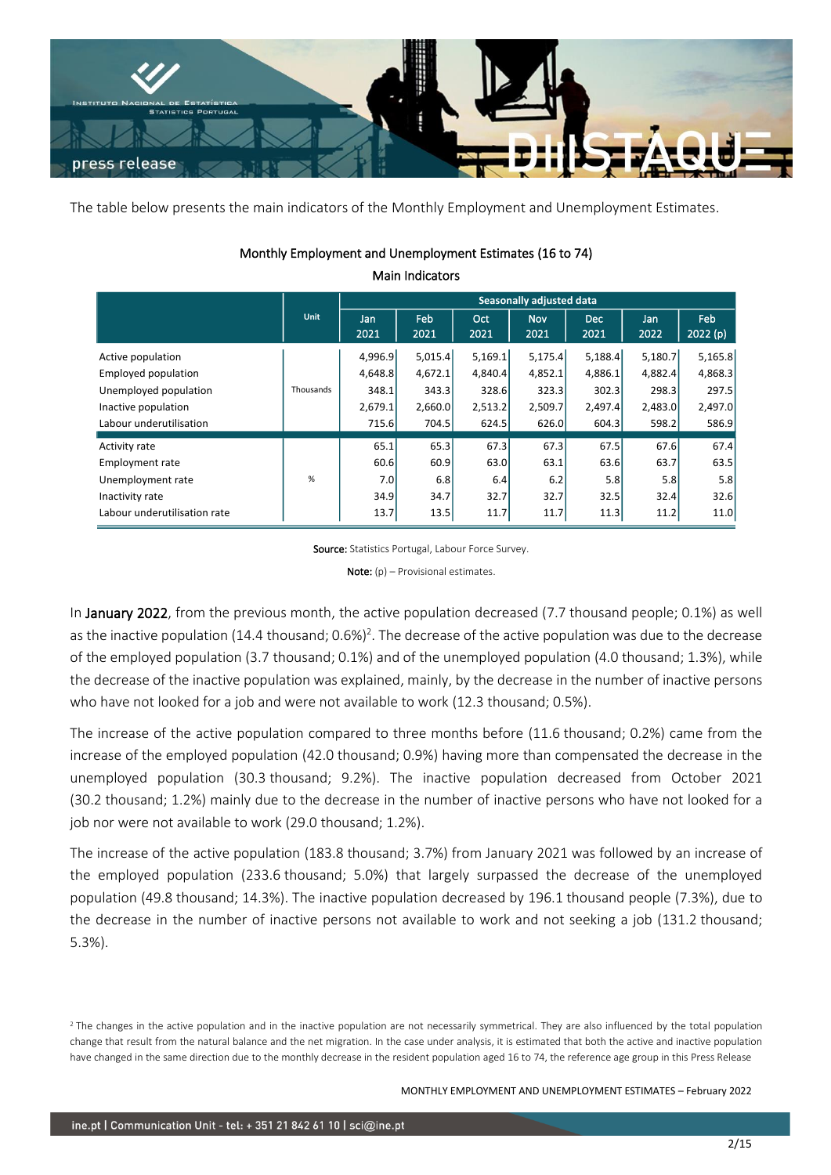

The table below presents the main indicators of the Monthly Employment and Unemployment Estimates.

|                              |           | Seasonally adjusted data |             |             |                    |                    |             |                |  |  |  |  |
|------------------------------|-----------|--------------------------|-------------|-------------|--------------------|--------------------|-------------|----------------|--|--|--|--|
|                              | Unit      | Jan<br>2021              | Feb<br>2021 | Oct<br>2021 | <b>Nov</b><br>2021 | <b>Dec</b><br>2021 | Jan<br>2022 | Feb<br>2022(p) |  |  |  |  |
| Active population            |           | 4,996.9                  | 5,015.4     | 5,169.1     | 5,175.4            | 5,188.4            | 5,180.7     | 5,165.8        |  |  |  |  |
| Employed population          |           | 4,648.8                  | 4,672.1     | 4,840.4     | 4,852.1            | 4,886.1            | 4,882.4     | 4,868.3        |  |  |  |  |
| Unemployed population        | Thousands | 348.1                    | 343.3       | 328.6       | 323.3              | 302.3              | 298.3       | 297.5          |  |  |  |  |
| Inactive population          |           | 2,679.1                  | 2,660.0     | 2,513.2     | 2,509.7            | 2,497.4            | 2,483.0     | 2,497.0        |  |  |  |  |
| Labour underutilisation      |           | 715.6                    | 704.5       | 624.5       | 626.0              | 604.3              | 598.2       | 586.9          |  |  |  |  |
| Activity rate                |           | 65.1                     | 65.3        | 67.3        | 67.3               | 67.5               | 67.6        | 67.4           |  |  |  |  |
| <b>Employment rate</b>       |           | 60.6                     | 60.9        | 63.0        | 63.1               | 63.6               | 63.7        | 63.5           |  |  |  |  |
| Unemployment rate            | %         | 7.0                      | 6.8         | 6.4         | 6.2                | 5.8                | 5.8         | 5.8            |  |  |  |  |
| Inactivity rate              |           | 34.9                     | 34.7        | 32.7        | 32.7               | 32.5               | 32.4        | 32.6           |  |  |  |  |
| Labour underutilisation rate |           | 13.7                     | 13.5        | 11.7        | 11.7               | 11.3               | 11.2        | 11.0           |  |  |  |  |

# Monthly Employment and Unemployment Estimates (16 to 74) Main Indicators

Source: Statistics Portugal, Labour Force Survey.

**Note:**  $(p)$  – Provisional estimates.

In January 2022, from the previous month, the active population decreased (7.7 thousand people; 0.1%) as well as the inactive population (14.4 thousand;  $0.6\frac{1}{2}$ . The decrease of the active population was due to the decrease of the employed population (3.7 thousand; 0.1%) and of the unemployed population (4.0 thousand; 1.3%), while the decrease of the inactive population was explained, mainly, by the decrease in the number of inactive persons who have not looked for a job and were not available to work (12.3 thousand; 0.5%).

The increase of the active population compared to three months before (11.6 thousand; 0.2%) came from the increase of the employed population (42.0 thousand; 0.9%) having more than compensated the decrease in the unemployed population (30.3 thousand; 9.2%). The inactive population decreased from October 2021 (30.2 thousand; 1.2%) mainly due to the decrease in the number of inactive persons who have not looked for a job nor were not available to work (29.0 thousand; 1.2%).

The increase of the active population (183.8 thousand; 3.7%) from January 2021 was followed by an increase of the employed population (233.6 thousand; 5.0%) that largely surpassed the decrease of the unemployed population (49.8 thousand; 14.3%). The inactive population decreased by 196.1 thousand people (7.3%), due to the decrease in the number of inactive persons not available to work and not seeking a job (131.2 thousand; 5.3%).

<sup>&</sup>lt;sup>2</sup> The changes in the active population and in the inactive population are not necessarily symmetrical. They are also influenced by the total population change that result from the natural balance and the net migration. In the case under analysis, it is estimated that both the active and inactive population have changed in the same direction due to the monthly decrease in the resident population aged 16 to 74, the reference age group in this Press Release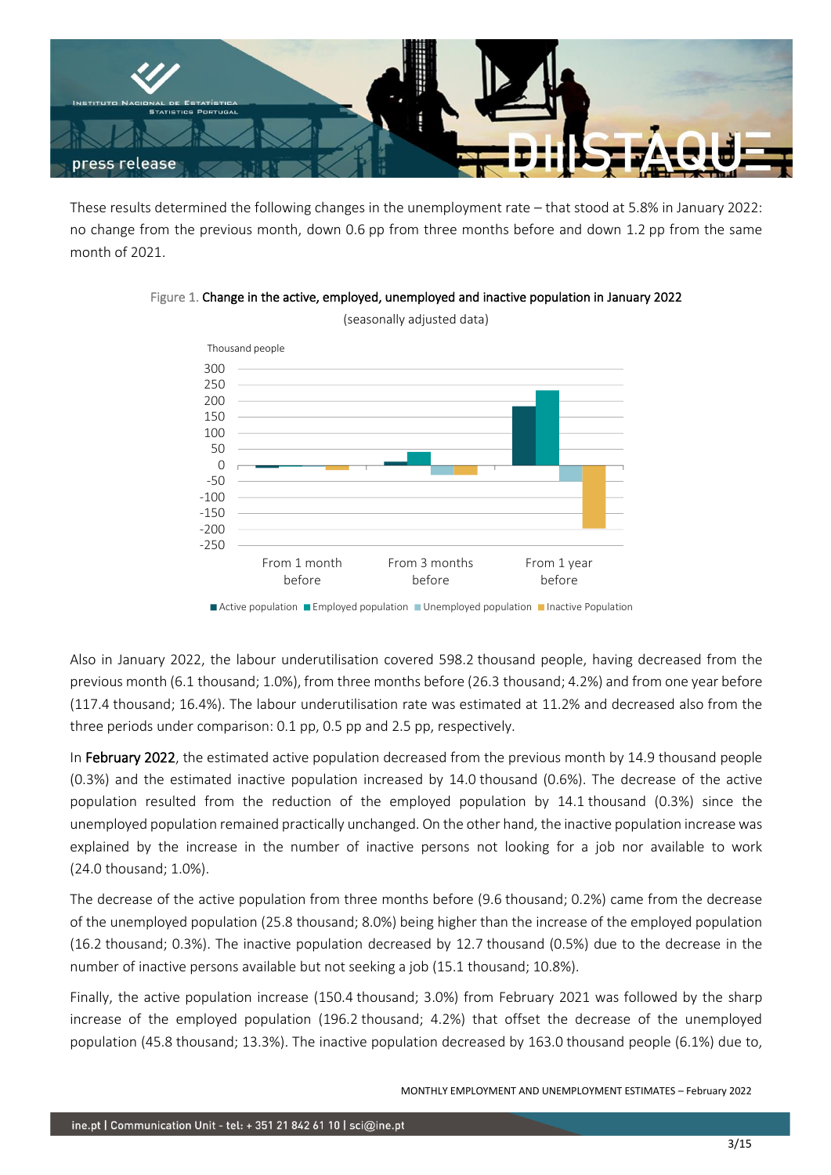

These results determined the following changes in the unemployment rate – that stood at 5.8% in January 2022: no change from the previous month, down 0.6 pp from three months before and down 1.2 pp from the same month of 2021.





■ Active population ■ Employed population ■ Unemployed population ■ Inactive Population

Also in January 2022, the labour underutilisation covered 598.2 thousand people, having decreased from the previous month (6.1 thousand; 1.0%), from three months before (26.3 thousand; 4.2%) and from one year before (117.4 thousand; 16.4%). The labour underutilisation rate was estimated at 11.2% and decreased also from the three periods under comparison: 0.1 pp, 0.5 pp and 2.5 pp, respectively.

In February 2022, the estimated active population decreased from the previous month by 14.9 thousand people (0.3%) and the estimated inactive population increased by 14.0 thousand (0.6%). The decrease of the active population resulted from the reduction of the employed population by 14.1 thousand (0.3%) since the unemployed population remained practically unchanged. On the other hand, the inactive population increasewas explained by the increase in the number of inactive persons not looking for a job nor available to work (24.0 thousand; 1.0%).

The decrease of the active population from three months before (9.6 thousand; 0.2%) came from the decrease of the unemployed population (25.8 thousand; 8.0%) being higher than the increase of the employed population (16.2 thousand; 0.3%). The inactive population decreased by 12.7 thousand (0.5%) due to the decrease in the number of inactive persons available but not seeking a job (15.1 thousand; 10.8%).

Finally, the active population increase (150.4 thousand; 3.0%) from February 2021 was followed by the sharp increase of the employed population (196.2 thousand; 4.2%) that offset the decrease of the unemployed population (45.8 thousand; 13.3%). The inactive population decreased by 163.0 thousand people (6.1%) due to,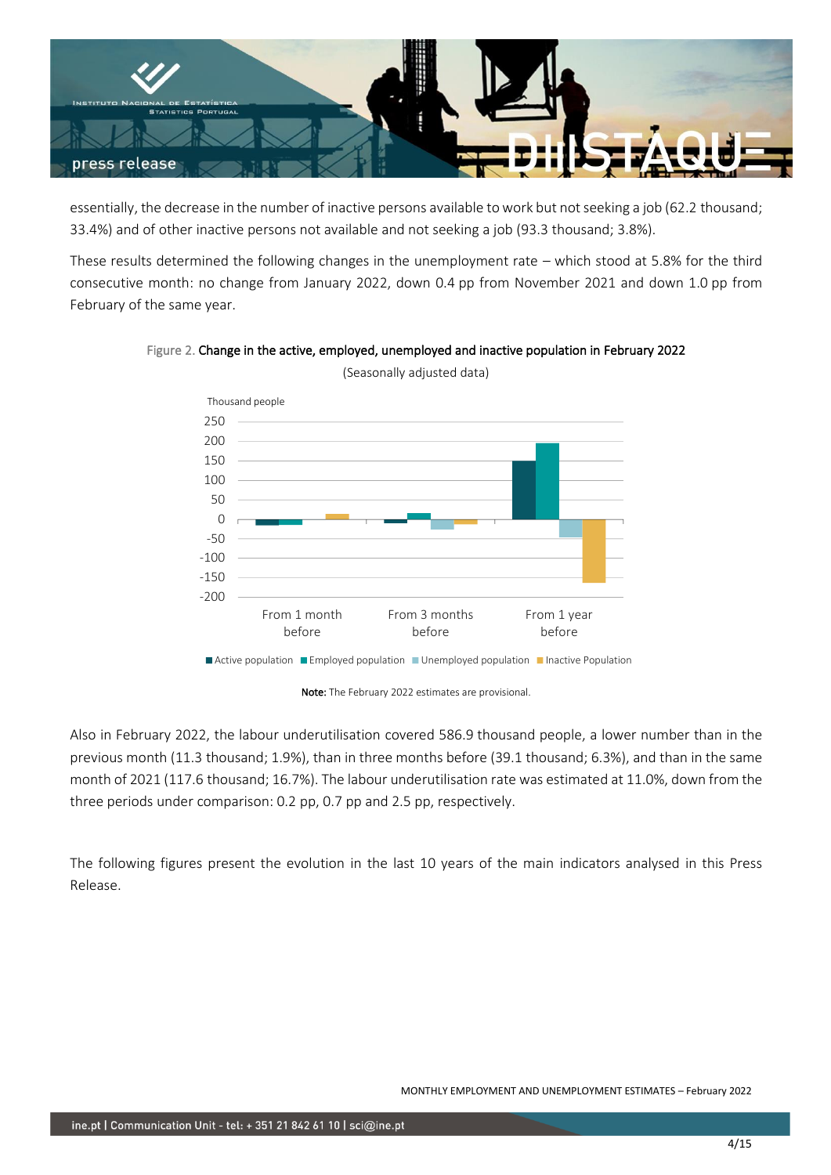

essentially, the decrease in the number of inactive persons available to work but not seeking a job (62.2 thousand; 33.4%) and of other inactive persons not available and not seeking a job (93.3 thousand; 3.8%).

These results determined the following changes in the unemployment rate – which stood at 5.8% for the third consecutive month: no change from January 2022, down 0.4 pp from November 2021 and down 1.0 pp from February of the same year.

![](_page_3_Figure_3.jpeg)

Figure 2. Change in the active, employed, unemployed and inactive population in February 2022

Also in February 2022, the labour underutilisation covered 586.9 thousand people, a lower number than in the previous month (11.3 thousand; 1.9%), than in three months before (39.1 thousand; 6.3%), and than in the same month of 2021 (117.6 thousand; 16.7%). The labour underutilisation rate was estimated at 11.0%, down from the three periods under comparison: 0.2 pp, 0.7 pp and 2.5 pp, respectively.

The following figures present the evolution in the last 10 years of the main indicators analysed in this Press Release.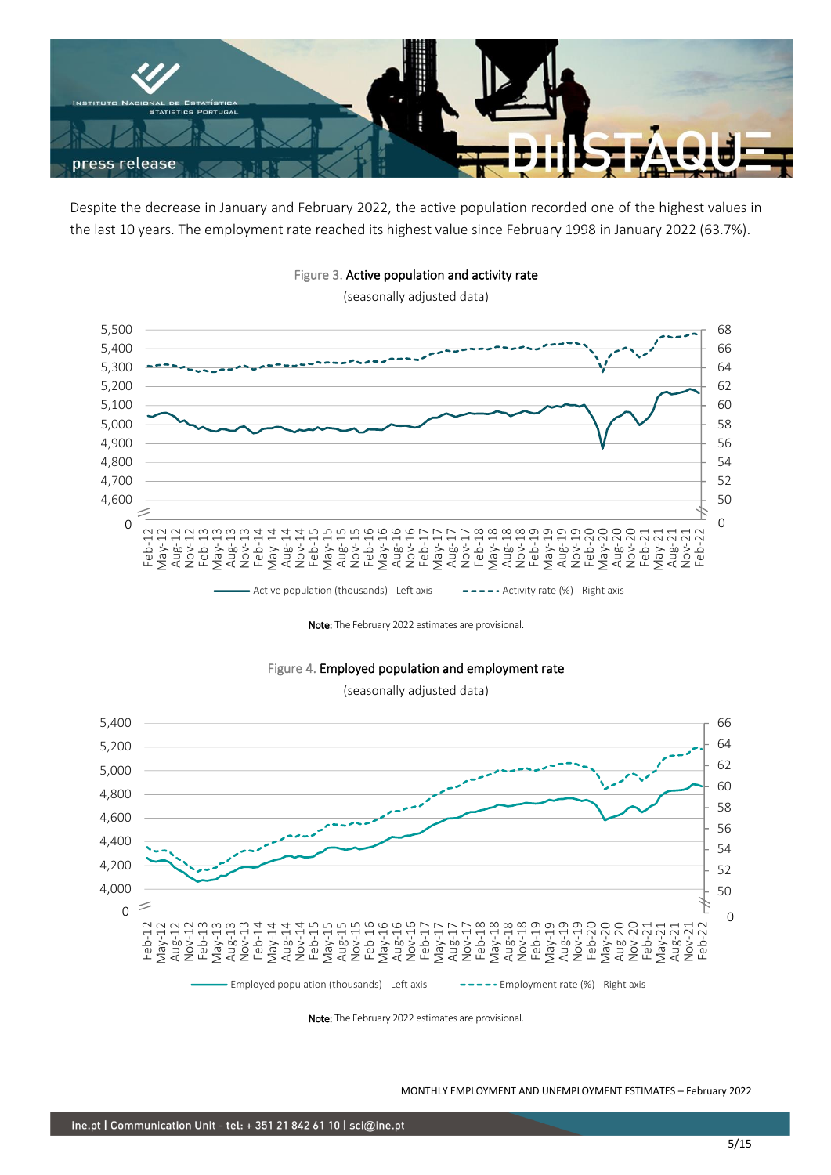![](_page_4_Picture_0.jpeg)

Despite the decrease in January and February 2022, the active population recorded one of the highest values in the last 10 years. The employment rate reached its highest value since February 1998 in January 2022 (63.7%).

![](_page_4_Figure_2.jpeg)

Figure 3. Active population and activity rate

(seasonally adjusted data)

Note: The February 2022 estimates are provisional.

![](_page_4_Figure_6.jpeg)

(seasonally adjusted data)

![](_page_4_Figure_8.jpeg)

Note: The February 2022 estimates are provisional.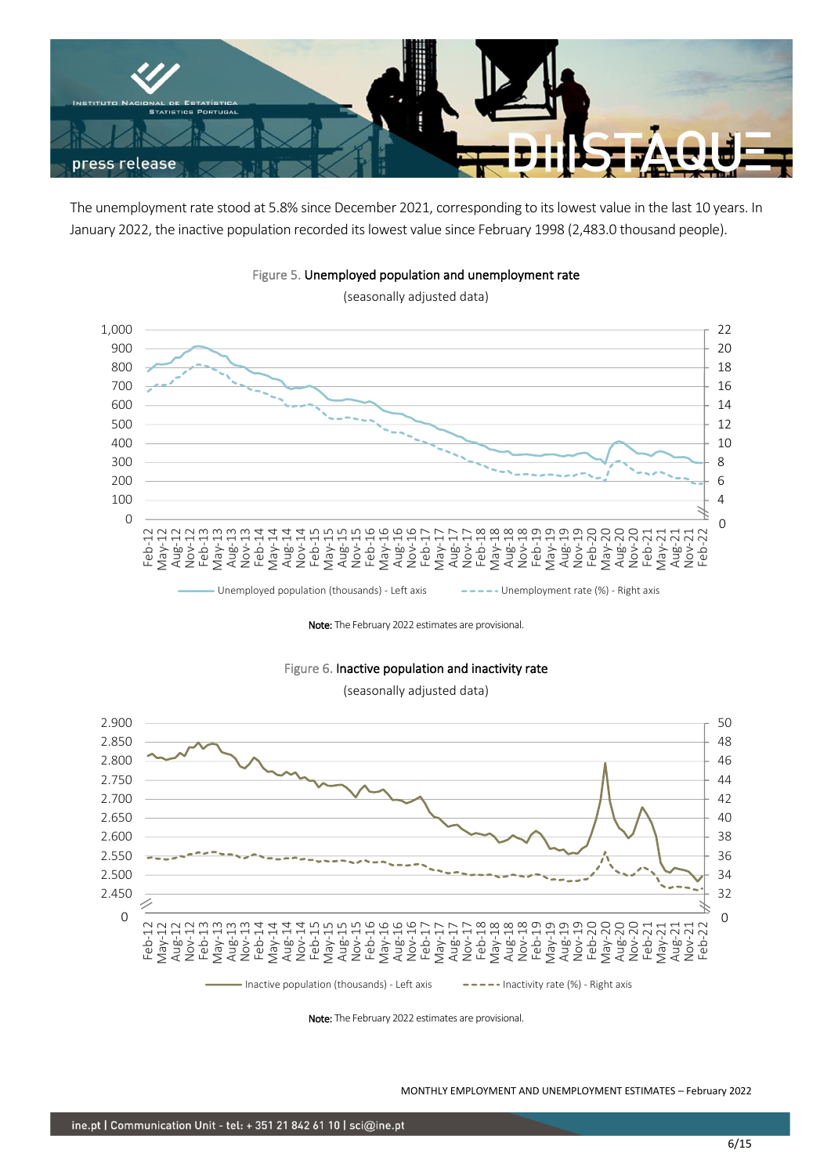![](_page_5_Picture_0.jpeg)

The unemployment rate stood at 5.8% since December 2021, corresponding to its lowest value in the last 10 years. In January 2022, the inactive population recorded its lowest value since February 1998 (2,483.0 thousand people).

![](_page_5_Figure_2.jpeg)

Figure 5. Unemployed population and unemployment rate

(seasonally adjusted data)

Note: The February 2022 estimates are provisional.

![](_page_5_Figure_6.jpeg)

(seasonally adjusted data)

![](_page_5_Figure_8.jpeg)

Note: The February 2022 estimates are provisional.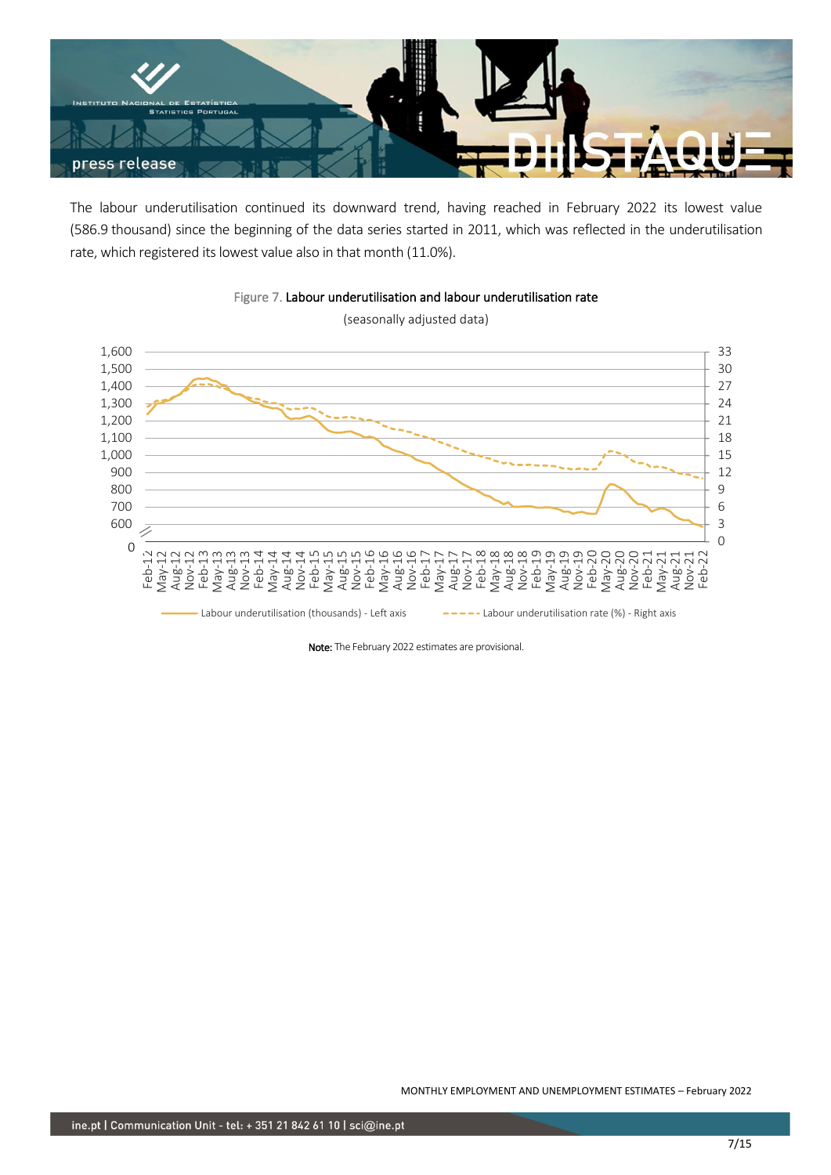![](_page_6_Picture_0.jpeg)

The labour underutilisation continued its downward trend, having reached in February 2022 its lowest value (586.9 thousand) since the beginning of the data series started in 2011, which was reflected in the underutilisation rate, which registered its lowest value also in that month (11.0%).

![](_page_6_Figure_2.jpeg)

Figure 7. Labour underutilisation and labour underutilisation rate

Note: The February 2022 estimates are provisional.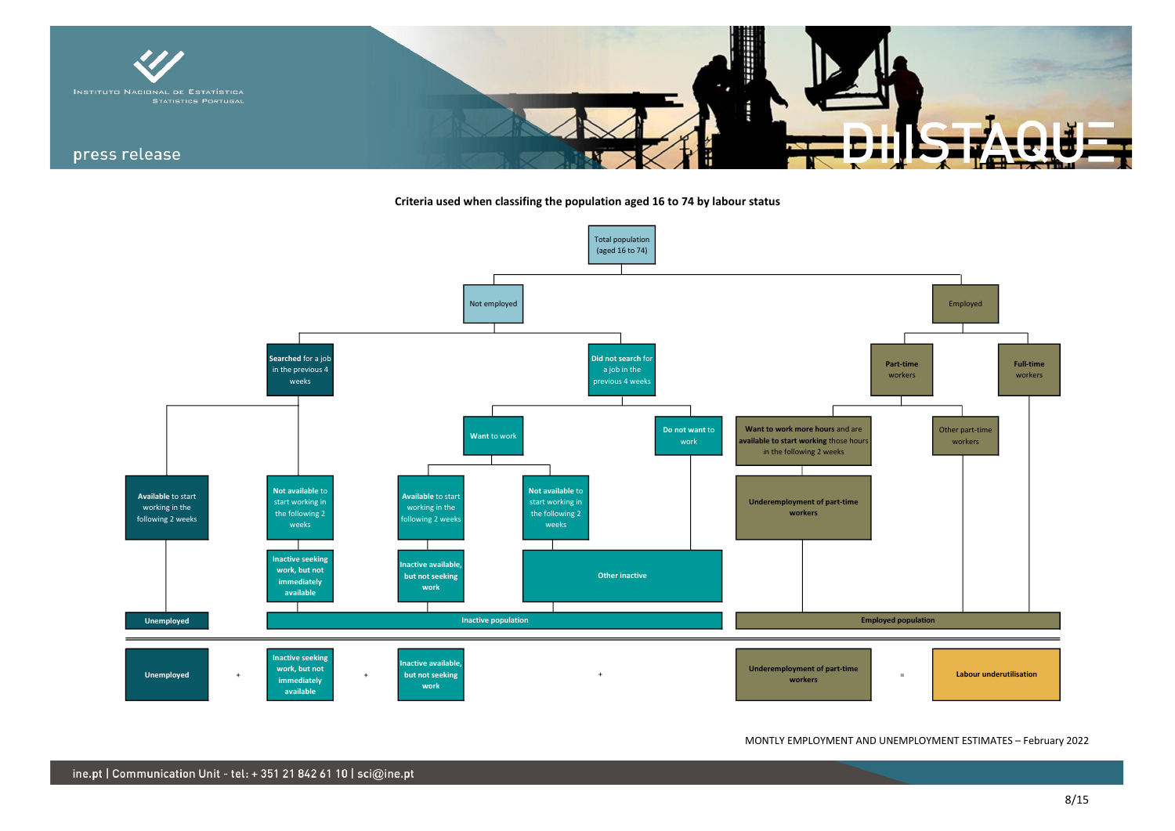![](_page_7_Picture_0.jpeg)

**Criteria used when classifing the population aged 16 to 74 by labour status**

![](_page_7_Figure_2.jpeg)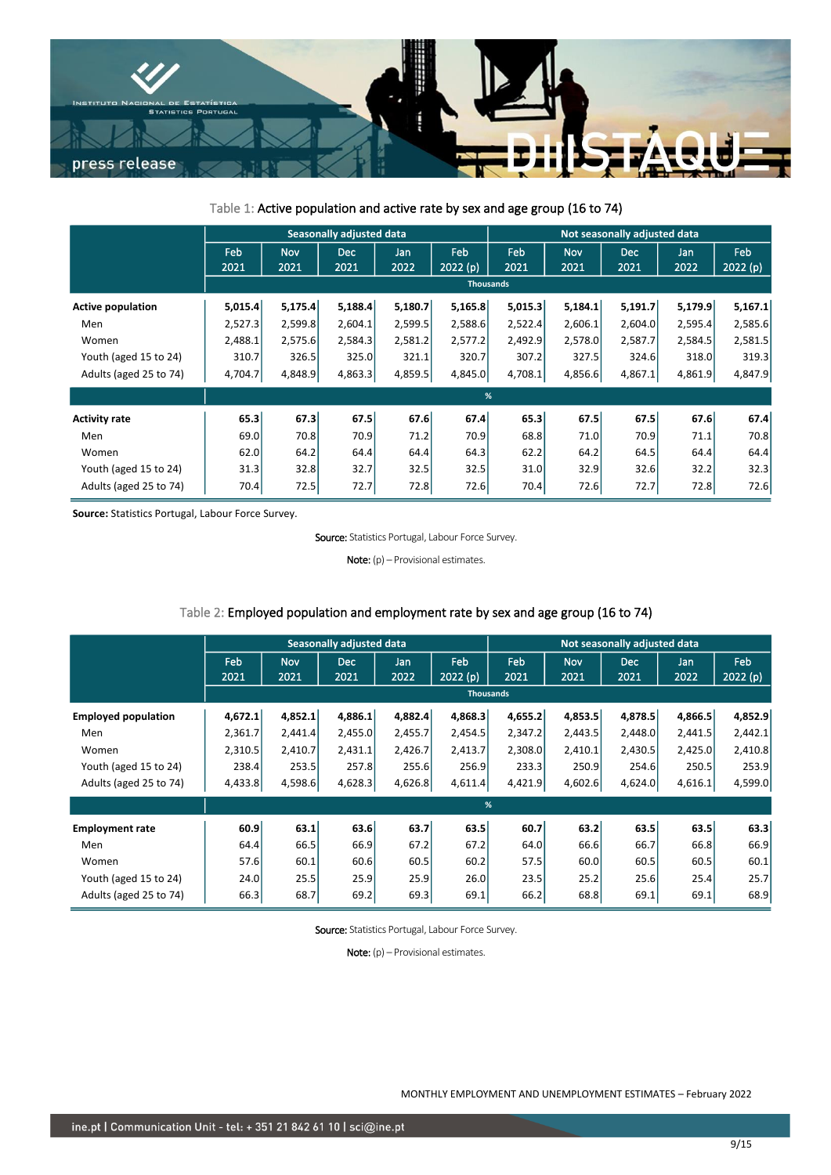![](_page_8_Picture_0.jpeg)

## Table 1: Active population and active rate by sex and age group (16 to 74)

|                          | Seasonally adjusted data |                    |                    |             |                  |             | Not seasonally adjusted data |                    |             |                 |  |
|--------------------------|--------------------------|--------------------|--------------------|-------------|------------------|-------------|------------------------------|--------------------|-------------|-----------------|--|
|                          | Feb<br>2021              | <b>Nov</b><br>2021 | <b>Dec</b><br>2021 | Jan<br>2022 | Feb<br>2022(p)   | Feb<br>2021 | Nov<br>2021                  | <b>Dec</b><br>2021 | Jan<br>2022 | Feb<br>2022 (p) |  |
|                          |                          |                    |                    |             | <b>Thousands</b> |             |                              |                    |             |                 |  |
| <b>Active population</b> | 5,015.4                  | 5,175.4            | 5,188.4            | 5,180.7     | 5,165.8          | 5,015.3     | 5,184.1                      | 5,191.7            | 5,179.9     | 5,167.1         |  |
| Men                      | 2,527.3                  | 2,599.8            | 2,604.1            | 2,599.5     | 2,588.6          | 2,522.4     | 2,606.1                      | 2,604.0            | 2,595.4     | 2,585.6         |  |
| Women                    | 2,488.1                  | 2,575.6            | 2,584.3            | 2,581.2     | 2,577.2          | 2,492.9     | 2,578.0                      | 2,587.7            | 2,584.5     | 2,581.5         |  |
| Youth (aged 15 to 24)    | 310.7                    | 326.5              | 325.0              | 321.1       | 320.7            | 307.2       | 327.5                        | 324.6              | 318.0       | 319.3           |  |
| Adults (aged 25 to 74)   | 4,704.7                  | 4,848.9            | 4,863.3            | 4,859.5     | 4,845.0          | 4,708.1     | 4,856.6                      | 4,867.1            | 4,861.9     | 4,847.9         |  |
|                          |                          |                    |                    |             | %                |             |                              |                    |             |                 |  |
| <b>Activity rate</b>     | 65.3                     | 67.3               | 67.5               | 67.6        | 67.4             | 65.3        | 67.5                         | 67.5               | 67.6        | 67.4            |  |
| Men                      | 69.0                     | 70.8               | 70.9               | 71.2        | 70.9             | 68.8        | 71.0                         | 70.9               | 71.1        | 70.8            |  |
| Women                    | 62.0                     | 64.2               | 64.4               | 64.4        | 64.3             | 62.2        | 64.2                         | 64.5               | 64.4        | 64.4            |  |
| Youth (aged 15 to 24)    | 31.3                     | 32.8               | 32.7               | 32.5        | 32.5             | 31.0        | 32.9                         | 32.6               | 32.2        | 32.3            |  |
| Adults (aged 25 to 74)   | 70.4                     | 72.5               | 72.7               | 72.8        | 72.6             | 70.4        | 72.6                         | 72.7               | 72.8        | 72.6            |  |

**Source:** Statistics Portugal, Labour Force Survey.

Source: Statistics Portugal, Labour Force Survey.

Note: (p) – Provisional estimates.

## Table 2: Employed population and employment rate by sex and age group (16 to 74)

|                            | <b>Seasonally adjusted data</b> |                    |                    |             |                  |                    | Not seasonally adjusted data |                    |             |                        |  |
|----------------------------|---------------------------------|--------------------|--------------------|-------------|------------------|--------------------|------------------------------|--------------------|-------------|------------------------|--|
|                            | Feb<br>2021                     | <b>Nov</b><br>2021 | <b>Dec</b><br>2021 | Jan<br>2022 | Feb<br>2022(p)   | <b>Feb</b><br>2021 | <b>Nov</b><br>2021           | <b>Dec</b><br>2021 | Jan<br>2022 | <b>Feb</b><br>2022 (p) |  |
|                            |                                 |                    |                    |             | <b>Thousands</b> |                    |                              |                    |             |                        |  |
| <b>Employed population</b> | 4,672.1                         | 4,852.1            | 4.886.1            | 4,882.4     | 4,868.3          | 4,655.2            | 4,853.5                      | 4,878.5            | 4,866.5     | 4,852.9                |  |
| Men                        | 2,361.7                         | 2,441.4            | 2,455.0            | 2,455.7     | 2,454.5          | 2,347.2            | 2,443.5                      | 2,448.0            | 2,441.5     | 2,442.1                |  |
| Women                      | 2,310.5                         | 2,410.7            | 2,431.1            | 2,426.7     | 2,413.7          | 2,308.0            | 2,410.1                      | 2,430.5            | 2,425.0     | 2,410.8                |  |
| Youth (aged 15 to 24)      | 238.4                           | 253.5              | 257.8              | 255.6       | 256.9            | 233.3              | 250.9                        | 254.6              | 250.5       | 253.9                  |  |
| Adults (aged 25 to 74)     | 4,433.8                         | 4,598.6            | 4,628.3            | 4,626.8     | 4,611.4          | 4,421.9            | 4,602.6                      | 4,624.0            | 4,616.1     | 4,599.0                |  |
|                            |                                 |                    |                    |             | %                |                    |                              |                    |             |                        |  |
| <b>Employment rate</b>     | 60.9                            | 63.1               | 63.6               | 63.7        | 63.5             | 60.7               | 63.2                         | 63.5               | 63.5        | 63.3                   |  |
| Men                        | 64.4                            | 66.5               | 66.9               | 67.2        | 67.2             | 64.0               | 66.6                         | 66.7               | 66.8        | 66.9                   |  |
| Women                      | 57.6                            | 60.1               | 60.6               | 60.5        | 60.2             | 57.5               | 60.0                         | 60.5               | 60.5        | 60.1                   |  |
| Youth (aged 15 to 24)      | 24.0                            | 25.5               | 25.9               | 25.9        | 26.0             | 23.5               | 25.2                         | 25.6               | 25.4        | 25.7                   |  |
| Adults (aged 25 to 74)     | 66.3                            | 68.7               | 69.2               | 69.3        | 69.1             | 66.2               | 68.8                         | 69.1               | 69.1        | 68.9                   |  |

Source: Statistics Portugal, Labour Force Survey.

Note: (p) - Provisional estimates.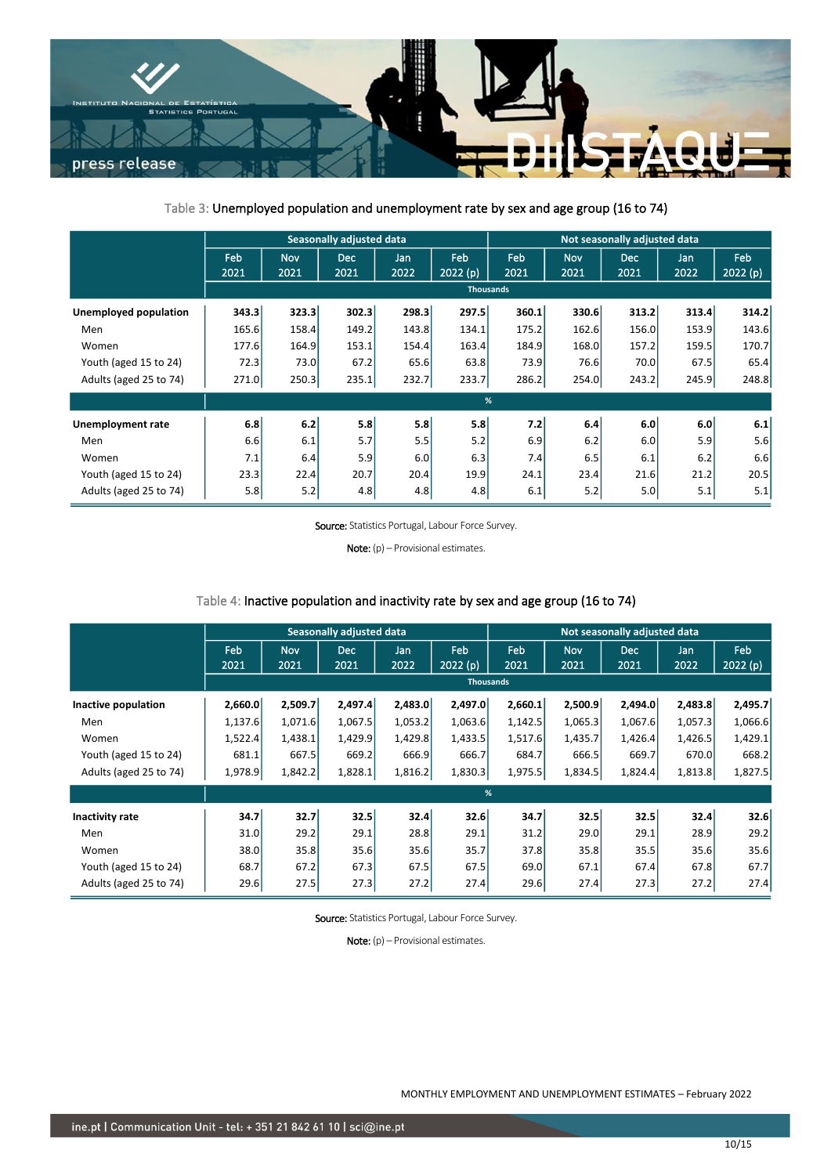![](_page_9_Picture_0.jpeg)

## Table 3: Unemployed population and unemployment rate by sex and age group (16 to 74)

|                        | <b>Seasonally adjusted data</b> |                    |                    |             |                  |             | Not seasonally adjusted data |                    |             |                |  |
|------------------------|---------------------------------|--------------------|--------------------|-------------|------------------|-------------|------------------------------|--------------------|-------------|----------------|--|
|                        | Feb<br>2021                     | <b>Nov</b><br>2021 | <b>Dec</b><br>2021 | Jan<br>2022 | Feb<br>2022 (p)  | Feb<br>2021 | <b>Nov</b><br>2021           | <b>Dec</b><br>2021 | Jan<br>2022 | Feb<br>2022(p) |  |
|                        |                                 |                    |                    |             | <b>Thousands</b> |             |                              |                    |             |                |  |
| Unemployed population  | 343.3                           | 323.3              | 302.3              | 298.3       | 297.5            | 360.1       | 330.6                        | 313.2              | 313.4       | 314.2          |  |
| Men                    | 165.6                           | 158.4              | 149.2              | 143.8       | 134.1            | 175.2       | 162.6                        | 156.0              | 153.9       | 143.6          |  |
| Women                  | 177.6                           | 164.9              | 153.1              | 154.4       | 163.4            | 184.9       | 168.0                        | 157.2              | 159.5       | 170.7          |  |
| Youth (aged 15 to 24)  | 72.3                            | 73.0               | 67.2               | 65.6        | 63.8             | 73.9        | 76.6                         | 70.0               | 67.5        | 65.4           |  |
| Adults (aged 25 to 74) | 271.0                           | 250.3              | 235.1              | 232.7       | 233.7            | 286.2       | 254.0                        | 243.2              | 245.9       | 248.8          |  |
|                        |                                 |                    |                    |             | %                |             |                              |                    |             |                |  |
| Unemployment rate      | 6.8                             | 6.2                | 5.8                | 5.8         | 5.8              | 7.2         | 6.4                          | 6.0                | 6.0         | 6.1            |  |
| Men                    | 6.6                             | 6.1                | 5.7                | 5.5         | 5.2              | 6.9         | 6.2                          | 6.0                | 5.9         | 5.6            |  |
| Women                  | 7.1                             | 6.4                | 5.9                | 6.0         | 6.3              | 7.4         | 6.5                          | 6.1                | 6.2         | 6.6            |  |
| Youth (aged 15 to 24)  | 23.3                            | 22.4               | 20.7               | 20.4        | 19.9             | 24.1        | 23.4                         | 21.6               | 21.2        | 20.5           |  |
| Adults (aged 25 to 74) | 5.8                             | 5.2                | 4.8                | 4.8         | 4.8              | 6.1         | 5.2                          | 5.0                | 5.1         | 5.1            |  |

Source: Statistics Portugal, Labour Force Survey.

Note: (p) – Provisional estimates.

## Table 4: Inactive population and inactivity rate by sex and age group (16 to 74)

|                        | Seasonally adjusted data |                    |                    |             |                |             | Not seasonally adjusted data |                    |             |                |  |
|------------------------|--------------------------|--------------------|--------------------|-------------|----------------|-------------|------------------------------|--------------------|-------------|----------------|--|
|                        | Feb<br>2021              | <b>Nov</b><br>2021 | <b>Dec</b><br>2021 | Jan<br>2022 | Feb<br>2022(p) | Feb<br>2021 | <b>Nov</b><br>2021           | <b>Dec</b><br>2021 | Jan<br>2022 | Feb<br>2022(p) |  |
|                        |                          |                    |                    |             | Thousands      |             |                              |                    |             |                |  |
| Inactive population    | 2,660.0                  | 2,509.7            | 2,497.4            | 2,483.0     | 2,497.0        | 2,660.1     | 2,500.9                      | 2,494.0            | 2,483.8     | 2,495.7        |  |
| Men                    | 1,137.6                  | 1,071.6            | 1,067.5            | 1,053.2     | 1,063.6        | 1,142.5     | 1,065.3                      | 1,067.6            | 1,057.3     | 1,066.6        |  |
| Women                  | 1,522.4                  | 1,438.1            | 1,429.9            | 1,429.8     | 1,433.5        | 1,517.6     | 1,435.7                      | 1,426.4            | 1,426.5     | 1,429.1        |  |
| Youth (aged 15 to 24)  | 681.1                    | 667.5              | 669.2              | 666.9       | 666.7          | 684.7       | 666.5                        | 669.7              | 670.0       | 668.2          |  |
| Adults (aged 25 to 74) | 1,978.9                  | 1,842.2            | 1,828.1            | 1,816.2     | 1,830.3        | 1,975.5     | 1,834.5                      | 1,824.4            | 1,813.8     | 1,827.5        |  |
|                        |                          |                    |                    |             | %              |             |                              |                    |             |                |  |
| <b>Inactivity rate</b> | 34.7                     | 32.7               | 32.5               | 32.4        | 32.6           | 34.7        | 32.5                         | 32.5               | 32.4        | 32.6           |  |
| Men                    | 31.0                     | 29.2               | 29.1               | 28.8        | 29.1           | 31.2        | 29.0                         | 29.1               | 28.9        | 29.2           |  |
| Women                  | 38.0                     | 35.8               | 35.6               | 35.6        | 35.7           | 37.8        | 35.8                         | 35.5               | 35.6        | 35.6           |  |
| Youth (aged 15 to 24)  | 68.7                     | 67.2               | 67.3               | 67.5        | 67.5           | 69.0        | 67.1                         | 67.4               | 67.8        | 67.7           |  |
| Adults (aged 25 to 74) | 29.6                     | 27.5               | 27.3               | 27.2        | 27.4           | 29.6        | 27.4                         | 27.3               | 27.2        | 27.4           |  |

Source: Statistics Portugal, Labour Force Survey.

Note: (p) – Provisional estimates.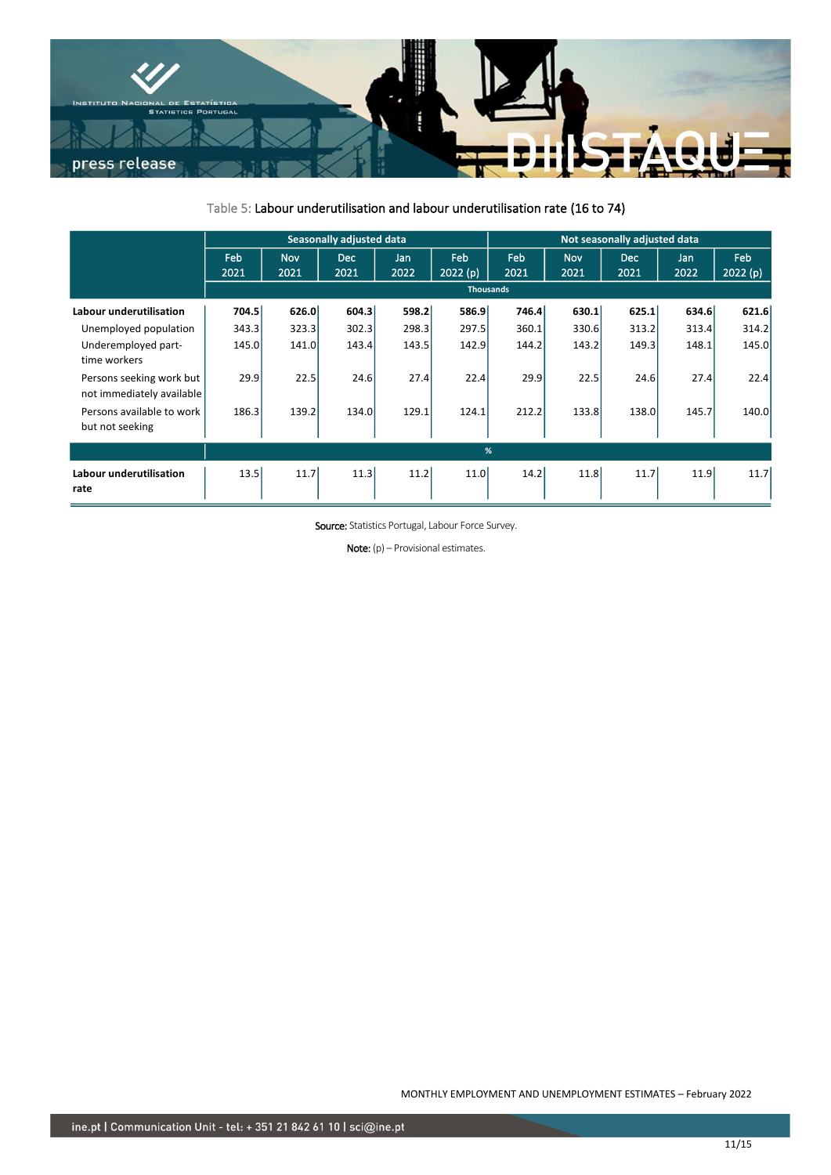![](_page_10_Picture_0.jpeg)

# Table 5: Labour underutilisation and labour underutilisation rate (16 to 74)

|                                                       | <b>Seasonally adjusted data</b> |                    |                    |             |                |                  | Not seasonally adjusted data |                    |             |                 |  |
|-------------------------------------------------------|---------------------------------|--------------------|--------------------|-------------|----------------|------------------|------------------------------|--------------------|-------------|-----------------|--|
|                                                       | Feb<br>2021                     | <b>Nov</b><br>2021 | <b>Dec</b><br>2021 | Jan<br>2022 | Feb<br>2022(p) | Feb<br>2021      | <b>Nov</b><br>2021           | <b>Dec</b><br>2021 | Jan<br>2022 | Feb<br>2022 (p) |  |
|                                                       |                                 |                    |                    |             |                | <b>Thousands</b> |                              |                    |             |                 |  |
| <b>Labour underutilisation</b>                        | 704.5                           | 626.0              | 604.3              | 598.2       | <b>586.9</b>   | 746.4            | 630.1                        | 625.1              | 634.6       | 621.6           |  |
| Unemployed population                                 | 343.3                           | 323.3              | 302.3              | 298.3       | 297.5          | 360.1            | 330.6                        | 313.2              | 313.4       | 314.2           |  |
| Underemployed part-<br>time workers                   | 145.0                           | 141.0              | 143.4              | 143.5       | 142.9          | 144.2            | 143.2                        | 149.3              | 148.1       | 145.0           |  |
| Persons seeking work but<br>not immediately available | 29.9                            | 22.5               | 24.6               | 27.4        | 22.4           | 29.9             | 22.5                         | 24.6               | 27.4        | 22.4            |  |
| Persons available to work<br>but not seeking          | 186.3                           | 139.2              | 134.0              | 129.1       | 124.1          | 212.2            | 133.8                        | 138.0              | 145.7       | 140.0           |  |
|                                                       |                                 |                    |                    |             |                | %                |                              |                    |             |                 |  |
| <b>Labour underutilisation</b><br>rate                | 13.5                            | 11.7               | 11.3               | 11.2        | 11.0           | 14.2             | 11.8                         | 11.7               | 11.9        | 11.7            |  |

Source: Statistics Portugal, Labour Force Survey.

Note: (p) – Provisional estimates.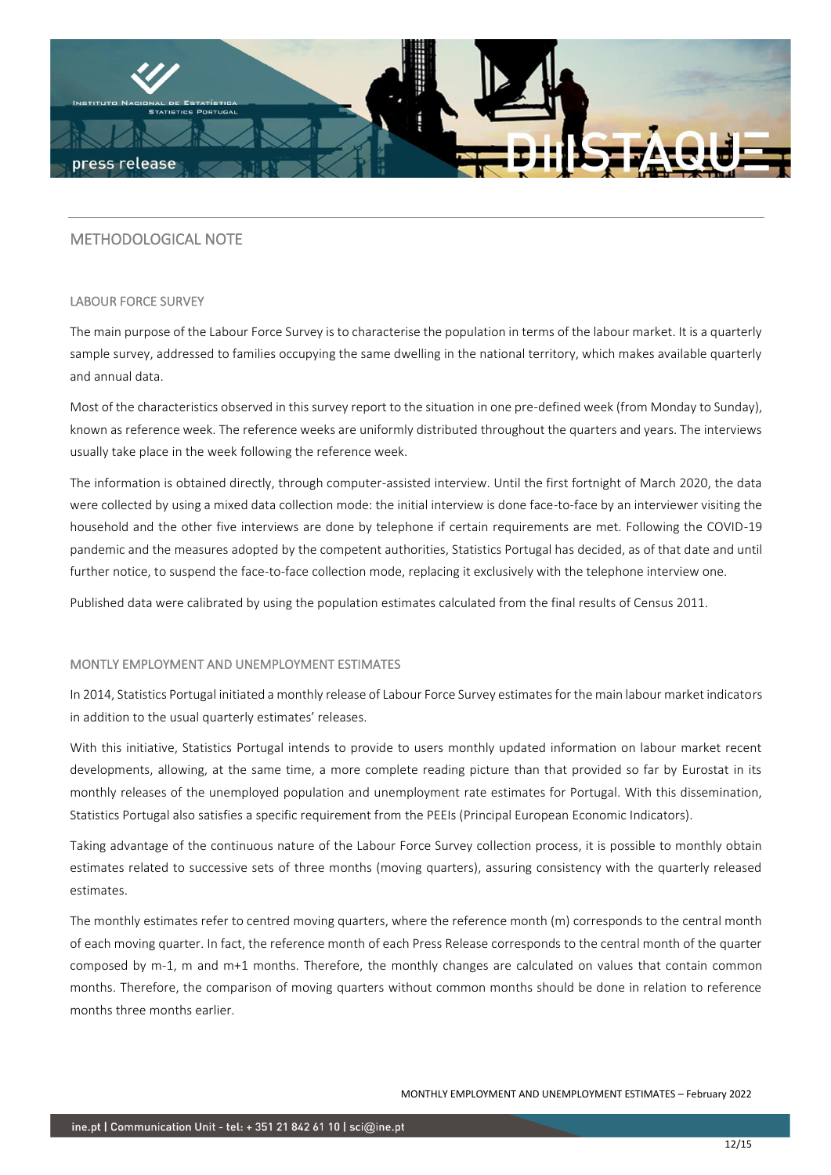![](_page_11_Picture_0.jpeg)

# METHODOLOGICAL NOTE

#### LABOUR FORCE SURVEY

The main purpose of the Labour Force Survey is to characterise the population in terms of the labour market. It is a quarterly sample survey, addressed to families occupying the same dwelling in the national territory, which makes available quarterly and annual data.

Most of the characteristics observed in this survey report to the situation in one pre-defined week (from Monday to Sunday), known as reference week. The reference weeks are uniformly distributed throughout the quarters and years. The interviews usually take place in the week following the reference week.

The information is obtained directly, through computer-assisted interview. Until the first fortnight of March 2020, the data were collected by using a mixed data collection mode: the initial interview is done face-to-face by an interviewer visiting the household and the other five interviews are done by telephone if certain requirements are met. Following the COVID-19 pandemic and the measures adopted by the competent authorities, Statistics Portugal has decided, as of that date and until further notice, to suspend the face-to-face collection mode, replacing it exclusively with the telephone interview one.

Published data were calibrated by using the population estimates calculated from the final results of Census 2011.

#### MONTLY EMPLOYMENT AND UNEMPLOYMENT ESTIMATES

In 2014, Statistics Portugal initiated a monthly release of Labour Force Survey estimates for the main labour market indicators in addition to the usual quarterly estimates' releases.

With this initiative, Statistics Portugal intends to provide to users monthly updated information on labour market recent developments, allowing, at the same time, a more complete reading picture than that provided so far by Eurostat in its monthly releases of the unemployed population and unemployment rate estimates for Portugal. With this dissemination, Statistics Portugal also satisfies a specific requirement from the PEEIs (Principal European Economic Indicators).

Taking advantage of the continuous nature of the Labour Force Survey collection process, it is possible to monthly obtain estimates related to successive sets of three months (moving quarters), assuring consistency with the quarterly released estimates.

The monthly estimates refer to centred moving quarters, where the reference month (m) corresponds to the central month of each moving quarter. In fact, the reference month of each Press Release corresponds to the central month of the quarter composed by m-1, m and m+1 months. Therefore, the monthly changes are calculated on values that contain common months. Therefore, the comparison of moving quarters without common months should be done in relation to reference months three months earlier.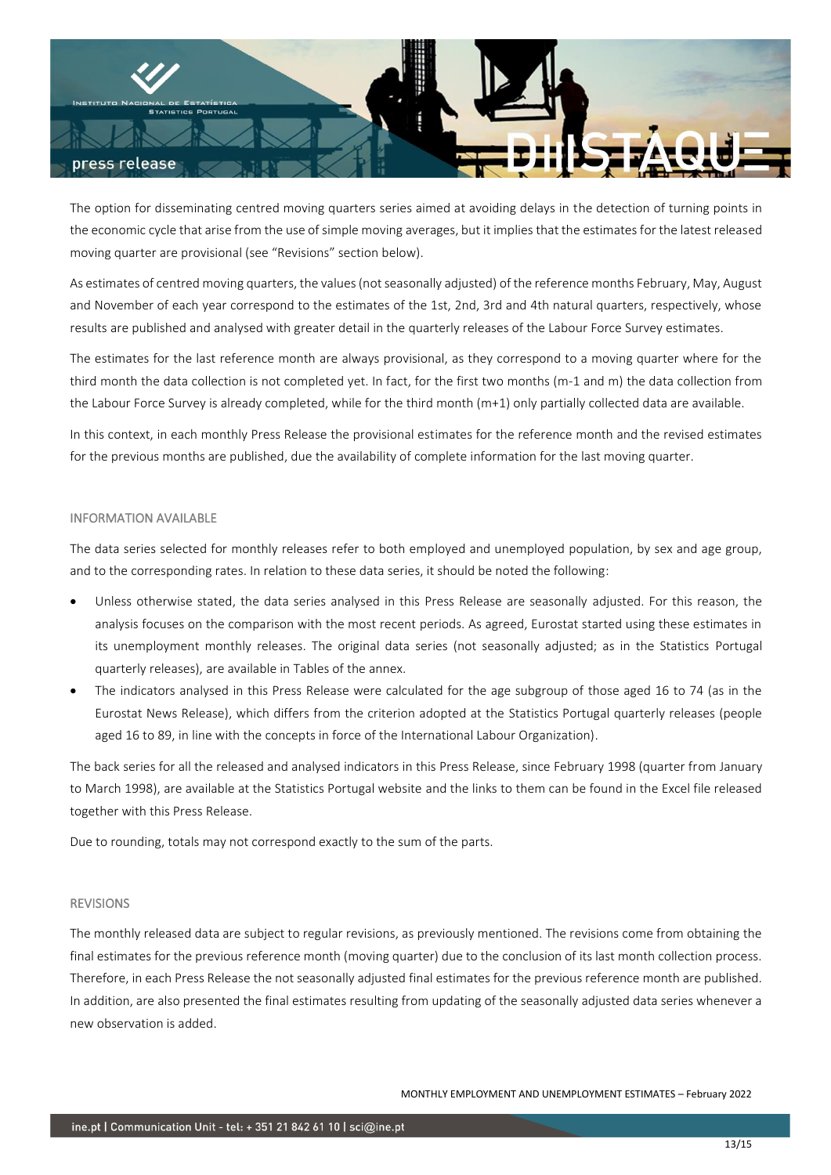![](_page_12_Picture_0.jpeg)

The option for disseminating centred moving quarters series aimed at avoiding delays in the detection of turning points in the economic cycle that arise from the use of simple moving averages, but it implies that the estimates for the latest released moving quarter are provisional (see "Revisions" section below).

As estimates of centred moving quarters, the values (not seasonally adjusted) of the reference months February, May, August and November of each year correspond to the estimates of the 1st, 2nd, 3rd and 4th natural quarters, respectively, whose results are published and analysed with greater detail in the quarterly releases of the Labour Force Survey estimates.

The estimates for the last reference month are always provisional, as they correspond to a moving quarter where for the third month the data collection is not completed yet. In fact, for the first two months (m-1 and m) the data collection from the Labour Force Survey is already completed, while for the third month (m+1) only partially collected data are available.

In this context, in each monthly Press Release the provisional estimates for the reference month and the revised estimates for the previous months are published, due the availability of complete information for the last moving quarter.

### INFORMATION AVAILABLE

The data series selected for monthly releases refer to both employed and unemployed population, by sex and age group, and to the corresponding rates. In relation to these data series, it should be noted the following:

- Unless otherwise stated, the data series analysed in this Press Release are seasonally adjusted. For this reason, the analysis focuses on the comparison with the most recent periods. As agreed, Eurostat started using these estimates in its unemployment monthly releases. The original data series (not seasonally adjusted; as in the Statistics Portugal quarterly releases), are available in Tables of the annex.
- The indicators analysed in this Press Release were calculated for the age subgroup of those aged 16 to 74 (as in the Eurostat News Release), which differs from the criterion adopted at the Statistics Portugal quarterly releases (people aged 16 to 89, in line with the concepts in force of the International Labour Organization).

The back series for all the released and analysed indicators in this Press Release, since February 1998 (quarter from January to March 1998), are available at the Statistics Portugal website and the links to them can be found in the Excel file released together with this Press Release.

Due to rounding, totals may not correspond exactly to the sum of the parts.

### REVISIONS

The monthly released data are subject to regular revisions, as previously mentioned. The revisions come from obtaining the final estimates for the previous reference month (moving quarter) due to the conclusion of its last month collection process. Therefore, in each Press Release the not seasonally adjusted final estimates for the previous reference month are published. In addition, are also presented the final estimates resulting from updating of the seasonally adjusted data series whenever a new observation is added.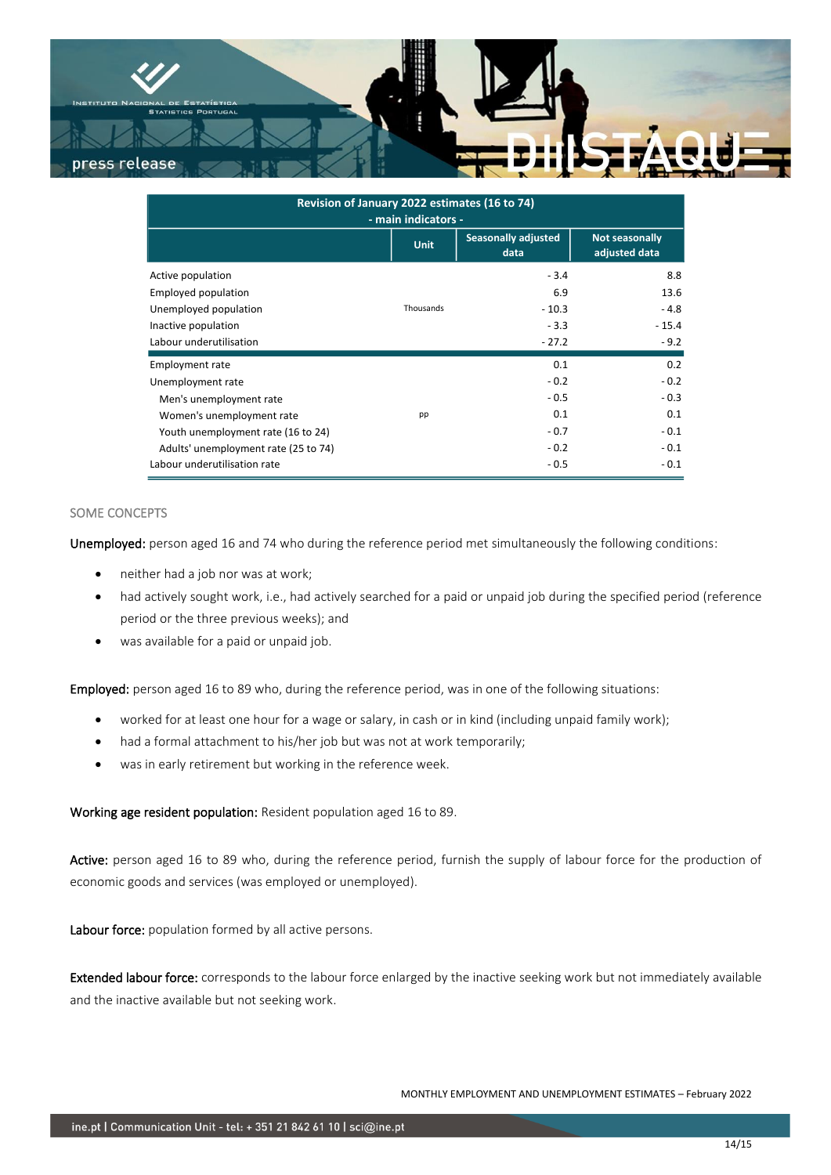![](_page_13_Picture_0.jpeg)

| Revision of January 2022 estimates (16 to 74)<br>- main indicators - |             |                                    |                                 |  |  |  |  |  |  |  |
|----------------------------------------------------------------------|-------------|------------------------------------|---------------------------------|--|--|--|--|--|--|--|
|                                                                      | <b>Unit</b> | <b>Seasonally adjusted</b><br>data | Not seasonally<br>adjusted data |  |  |  |  |  |  |  |
| Active population                                                    |             | $-3.4$                             | 8.8                             |  |  |  |  |  |  |  |
| Employed population                                                  |             | 6.9                                | 13.6                            |  |  |  |  |  |  |  |
| Unemployed population                                                | Thousands   | $-10.3$                            | $-4.8$                          |  |  |  |  |  |  |  |
| Inactive population                                                  |             | $-3.3$                             | $-15.4$                         |  |  |  |  |  |  |  |
| Labour underutilisation                                              |             | $-27.2$                            | $-9.2$                          |  |  |  |  |  |  |  |
| <b>Employment rate</b>                                               |             | 0.1                                | 0.2                             |  |  |  |  |  |  |  |
| Unemployment rate                                                    |             | $-0.2$                             | $-0.2$                          |  |  |  |  |  |  |  |
| Men's unemployment rate                                              |             | $-0.5$                             | $-0.3$                          |  |  |  |  |  |  |  |
| Women's unemployment rate                                            | pp          | 0.1                                | 0.1                             |  |  |  |  |  |  |  |
| Youth unemployment rate (16 to 24)                                   |             | $-0.7$                             | $-0.1$                          |  |  |  |  |  |  |  |
| Adults' unemployment rate (25 to 74)                                 |             | $-0.2$                             | $-0.1$                          |  |  |  |  |  |  |  |
| Labour underutilisation rate                                         |             | $-0.5$                             | $-0.1$                          |  |  |  |  |  |  |  |

## SOME CONCEPTS

Unemployed: person aged 16 and 74 who during the reference period met simultaneously the following conditions:

- neither had a job nor was at work;
- had actively sought work, i.e., had actively searched for a paid or unpaid job during the specified period (reference period or the three previous weeks); and
- was available for a paid or unpaid job.

Employed: person aged 16 to 89 who, during the reference period, was in one of the following situations:

- worked for at least one hour for a wage or salary, in cash or in kind (including unpaid family work);
- had a formal attachment to his/her job but was not at work temporarily;
- was in early retirement but working in the reference week.

Working age resident population: Resident population aged 16 to 89.

Active: person aged 16 to 89 who, during the reference period, furnish the supply of labour force for the production of economic goods and services (was employed or unemployed).

Labour force: population formed by all active persons.

Extended labour force: corresponds to the labour force enlarged by the inactive seeking work but not immediately available and the inactive available but not seeking work.